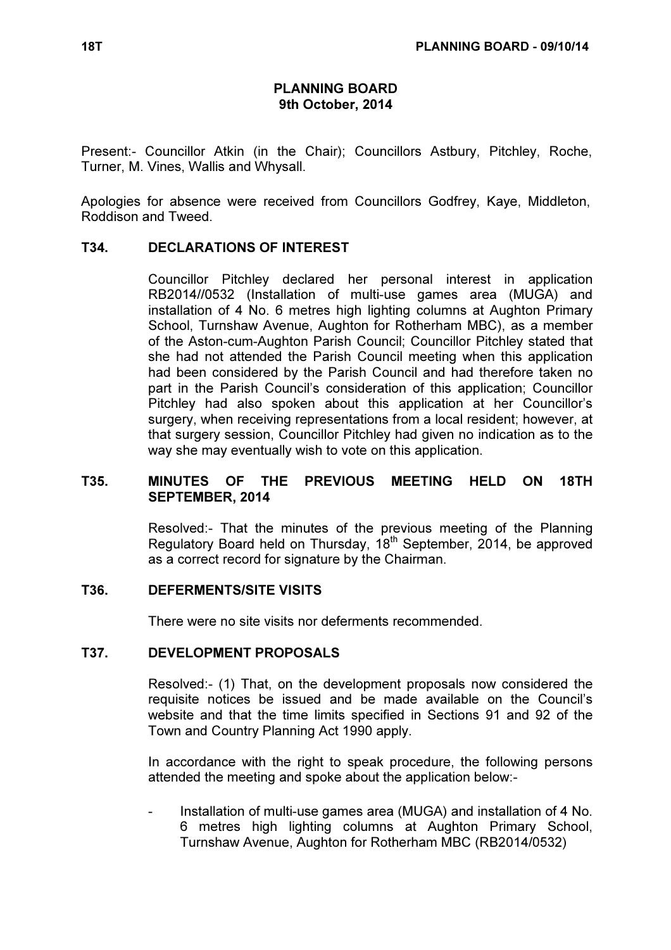### PLANNING BOARD 9th October, 2014

Present:- Councillor Atkin (in the Chair); Councillors Astbury, Pitchley, Roche, Turner, M. Vines, Wallis and Whysall.

Apologies for absence were received from Councillors Godfrey, Kaye, Middleton, Roddison and Tweed.

### T34. DECLARATIONS OF INTEREST

 Councillor Pitchley declared her personal interest in application RB2014//0532 (Installation of multi-use games area (MUGA) and installation of 4 No. 6 metres high lighting columns at Aughton Primary School, Turnshaw Avenue, Aughton for Rotherham MBC), as a member of the Aston-cum-Aughton Parish Council; Councillor Pitchley stated that she had not attended the Parish Council meeting when this application had been considered by the Parish Council and had therefore taken no part in the Parish Council's consideration of this application; Councillor Pitchley had also spoken about this application at her Councillor's surgery, when receiving representations from a local resident; however, at that surgery session, Councillor Pitchley had given no indication as to the way she may eventually wish to vote on this application.

### T35. MINUTES OF THE PREVIOUS MEETING HELD ON 18TH SEPTEMBER, 2014

 Resolved:- That the minutes of the previous meeting of the Planning Regulatory Board held on Thursday, 18<sup>th</sup> September, 2014, be approved as a correct record for signature by the Chairman.

#### T36. DEFERMENTS/SITE VISITS

There were no site visits nor deferments recommended.

#### T37. DEVELOPMENT PROPOSALS

 Resolved:- (1) That, on the development proposals now considered the requisite notices be issued and be made available on the Council's website and that the time limits specified in Sections 91 and 92 of the Town and Country Planning Act 1990 apply.

In accordance with the right to speak procedure, the following persons attended the meeting and spoke about the application below:-

Installation of multi-use games area (MUGA) and installation of 4 No. 6 metres high lighting columns at Aughton Primary School, Turnshaw Avenue, Aughton for Rotherham MBC (RB2014/0532)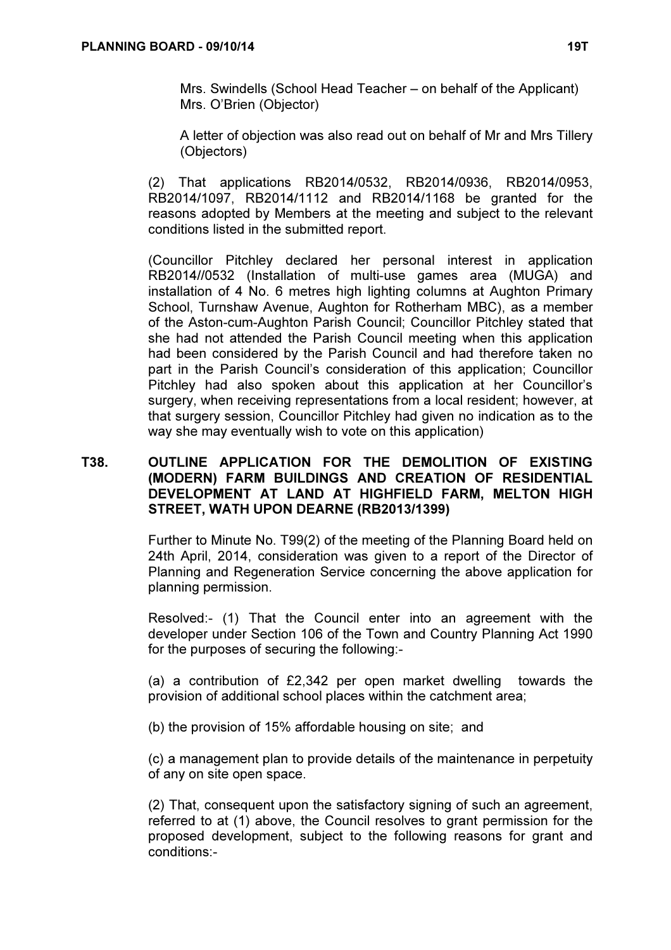Mrs. Swindells (School Head Teacher – on behalf of the Applicant) Mrs. O'Brien (Objector)

A letter of objection was also read out on behalf of Mr and Mrs Tillery (Objectors)

(2) That applications RB2014/0532, RB2014/0936, RB2014/0953, RB2014/1097, RB2014/1112 and RB2014/1168 be granted for the reasons adopted by Members at the meeting and subject to the relevant conditions listed in the submitted report.

(Councillor Pitchley declared her personal interest in application RB2014//0532 (Installation of multi-use games area (MUGA) and installation of 4 No. 6 metres high lighting columns at Aughton Primary School, Turnshaw Avenue, Aughton for Rotherham MBC), as a member of the Aston-cum-Aughton Parish Council; Councillor Pitchley stated that she had not attended the Parish Council meeting when this application had been considered by the Parish Council and had therefore taken no part in the Parish Council's consideration of this application; Councillor Pitchley had also spoken about this application at her Councillor's surgery, when receiving representations from a local resident; however, at that surgery session, Councillor Pitchley had given no indication as to the way she may eventually wish to vote on this application)

### T38. OUTLINE APPLICATION FOR THE DEMOLITION OF EXISTING (MODERN) FARM BUILDINGS AND CREATION OF RESIDENTIAL DEVELOPMENT AT LAND AT HIGHFIELD FARM, MELTON HIGH STREET, WATH UPON DEARNE (RB2013/1399)

 Further to Minute No. T99(2) of the meeting of the Planning Board held on 24th April, 2014, consideration was given to a report of the Director of Planning and Regeneration Service concerning the above application for planning permission.

Resolved:- (1) That the Council enter into an agreement with the developer under Section 106 of the Town and Country Planning Act 1990 for the purposes of securing the following:-

(a) a contribution of £2,342 per open market dwelling towards the provision of additional school places within the catchment area;

(b) the provision of 15% affordable housing on site; and

(c) a management plan to provide details of the maintenance in perpetuity of any on site open space.

(2) That, consequent upon the satisfactory signing of such an agreement, referred to at (1) above, the Council resolves to grant permission for the proposed development, subject to the following reasons for grant and conditions:-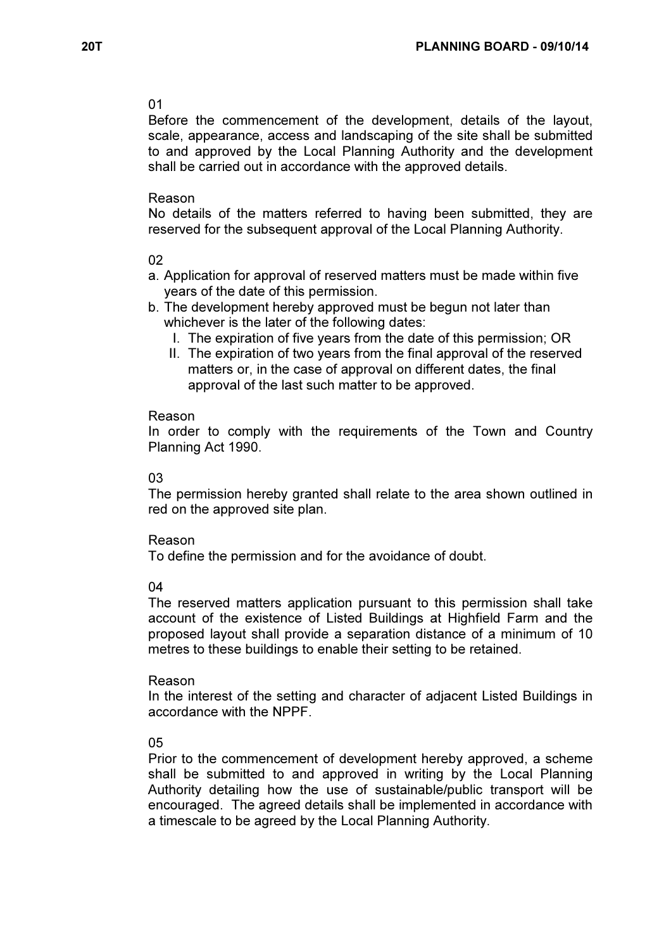#### 01

Before the commencement of the development, details of the layout, scale, appearance, access and landscaping of the site shall be submitted to and approved by the Local Planning Authority and the development shall be carried out in accordance with the approved details.

### Reason

No details of the matters referred to having been submitted, they are reserved for the subsequent approval of the Local Planning Authority.

### 02

- a. Application for approval of reserved matters must be made within five years of the date of this permission.
- b. The development hereby approved must be begun not later than whichever is the later of the following dates:
	- I. The expiration of five years from the date of this permission; OR
	- II. The expiration of two years from the final approval of the reserved matters or, in the case of approval on different dates, the final approval of the last such matter to be approved.

#### Reason

In order to comply with the requirements of the Town and Country Planning Act 1990.

#### 03

The permission hereby granted shall relate to the area shown outlined in red on the approved site plan.

#### Reason

To define the permission and for the avoidance of doubt.

#### 04

The reserved matters application pursuant to this permission shall take account of the existence of Listed Buildings at Highfield Farm and the proposed layout shall provide a separation distance of a minimum of 10 metres to these buildings to enable their setting to be retained.

#### Reason

In the interest of the setting and character of adjacent Listed Buildings in accordance with the NPPF.

### 05

Prior to the commencement of development hereby approved, a scheme shall be submitted to and approved in writing by the Local Planning Authority detailing how the use of sustainable/public transport will be encouraged. The agreed details shall be implemented in accordance with a timescale to be agreed by the Local Planning Authority.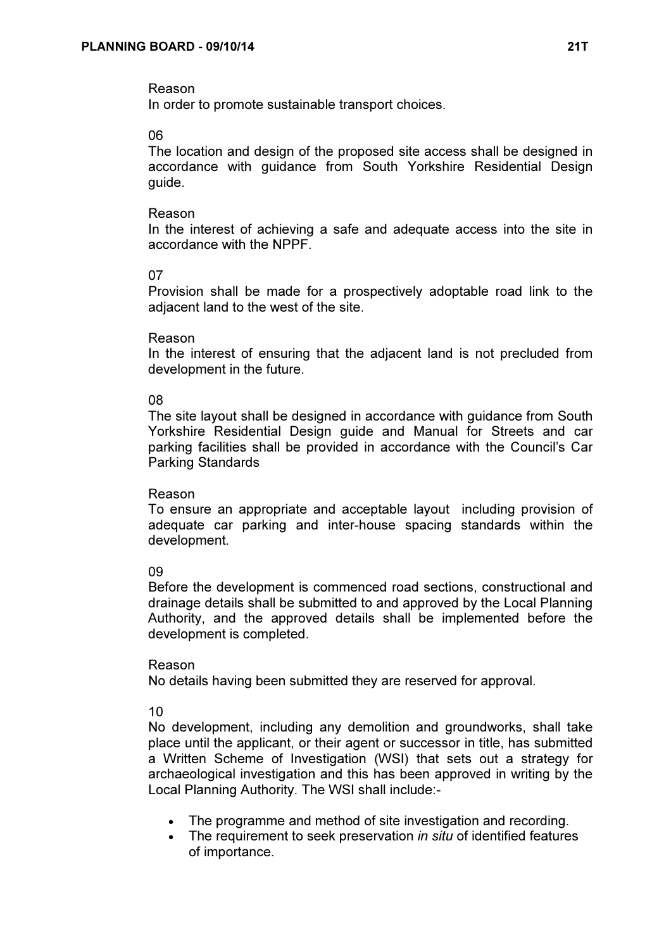# Reason

In order to promote sustainable transport choices.

# 06

The location and design of the proposed site access shall be designed in accordance with guidance from South Yorkshire Residential Design guide.

### Reason

In the interest of achieving a safe and adequate access into the site in accordance with the NPPF.

# 07

Provision shall be made for a prospectively adoptable road link to the adjacent land to the west of the site.

### Reason

In the interest of ensuring that the adjacent land is not precluded from development in the future.

# 08

The site layout shall be designed in accordance with guidance from South Yorkshire Residential Design guide and Manual for Streets and car parking facilities shall be provided in accordance with the Council's Car Parking Standards

### Reason

To ensure an appropriate and acceptable layout including provision of adequate car parking and inter-house spacing standards within the development.

# 09

Before the development is commenced road sections, constructional and drainage details shall be submitted to and approved by the Local Planning Authority, and the approved details shall be implemented before the development is completed.

### Reason

No details having been submitted they are reserved for approval.

# 10

No development, including any demolition and groundworks, shall take place until the applicant, or their agent or successor in title, has submitted a Written Scheme of Investigation (WSI) that sets out a strategy for archaeological investigation and this has been approved in writing by the Local Planning Authority. The WSI shall include:-

- The programme and method of site investigation and recording.
- The requirement to seek preservation *in situ* of identified features of importance.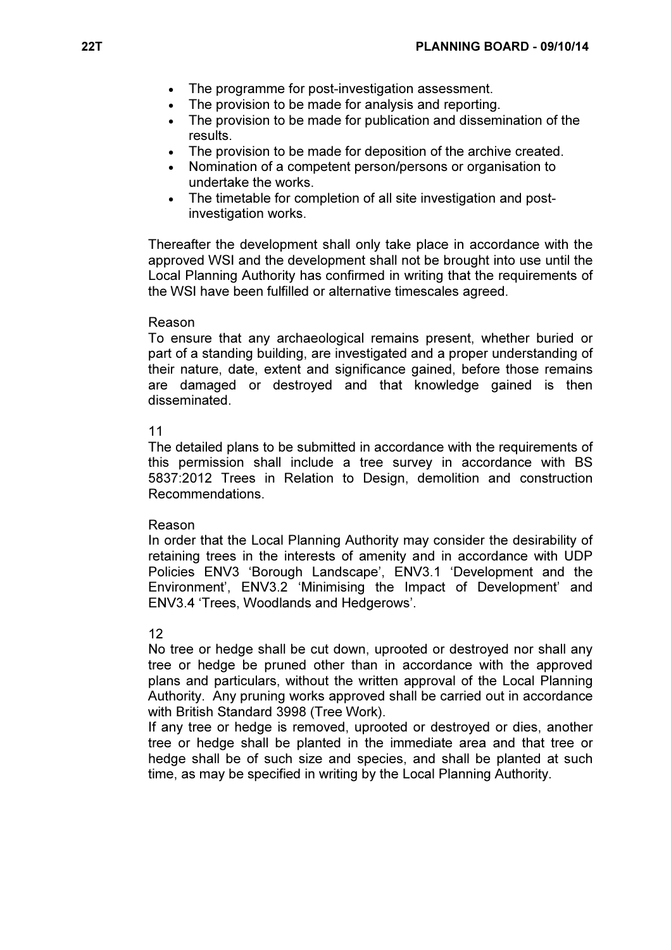- The programme for post-investigation assessment.
- The provision to be made for analysis and reporting.
- The provision to be made for publication and dissemination of the results.
- The provision to be made for deposition of the archive created.
- Nomination of a competent person/persons or organisation to undertake the works.
- The timetable for completion of all site investigation and postinvestigation works.

Thereafter the development shall only take place in accordance with the approved WSI and the development shall not be brought into use until the Local Planning Authority has confirmed in writing that the requirements of the WSI have been fulfilled or alternative timescales agreed.

#### Reason

To ensure that any archaeological remains present, whether buried or part of a standing building, are investigated and a proper understanding of their nature, date, extent and significance gained, before those remains are damaged or destroyed and that knowledge gained is then disseminated.

#### 11

The detailed plans to be submitted in accordance with the requirements of this permission shall include a tree survey in accordance with BS 5837:2012 Trees in Relation to Design, demolition and construction Recommendations.

#### Reason

In order that the Local Planning Authority may consider the desirability of retaining trees in the interests of amenity and in accordance with UDP Policies ENV3 'Borough Landscape', ENV3.1 'Development and the Environment', ENV3.2 'Minimising the Impact of Development' and ENV3.4 'Trees, Woodlands and Hedgerows'.

#### 12

No tree or hedge shall be cut down, uprooted or destroyed nor shall any tree or hedge be pruned other than in accordance with the approved plans and particulars, without the written approval of the Local Planning Authority. Any pruning works approved shall be carried out in accordance with British Standard 3998 (Tree Work).

If any tree or hedge is removed, uprooted or destroyed or dies, another tree or hedge shall be planted in the immediate area and that tree or hedge shall be of such size and species, and shall be planted at such time, as may be specified in writing by the Local Planning Authority.